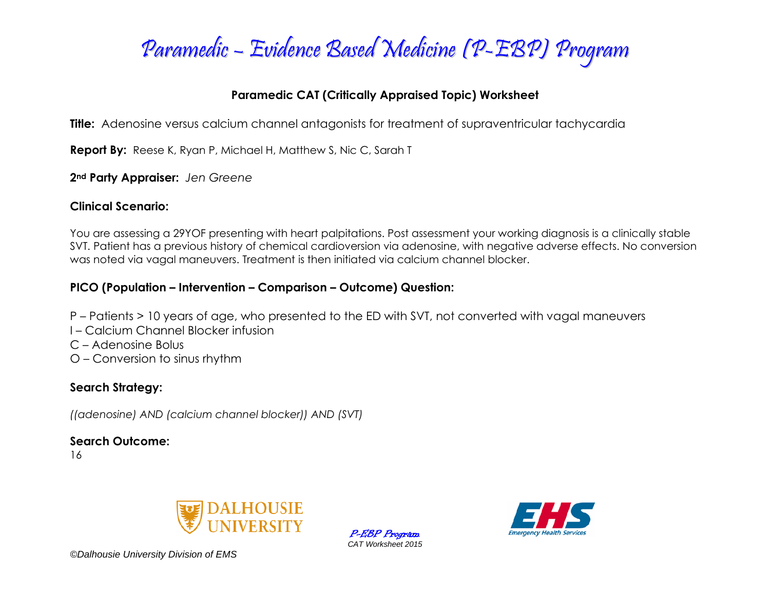

## **Paramedic CAT (Critically Appraised Topic) Worksheet**

**Title:** Adenosine versus calcium channel antagonists for treatment of supraventricular tachycardia

**Report By:** Reese K, Ryan P, Michael H, Matthew S, Nic C, Sarah T

**2nd Party Appraiser:** *Jen Greene*

### **Clinical Scenario:**

You are assessing a 29YOF presenting with heart palpitations. Post assessment your working diagnosis is a clinically stable SVT. Patient has a previous history of chemical cardioversion via adenosine, with negative adverse effects. No conversion was noted via vagal maneuvers. Treatment is then initiated via calcium channel blocker.

## **PICO (Population – Intervention – Comparison – Outcome) Question:**

- P Patients > 10 years of age, who presented to the ED with SVT, not converted with vagal maneuvers
- I Calcium Channel Blocker infusion
- C Adenosine Bolus
- O Conversion to sinus rhythm

## **Search Strategy:**

*((adenosine) AND (calcium channel blocker)) AND (SVT)* 

**Search Outcome:**

16



P-EBP Program *CAT Worksheet 2015*

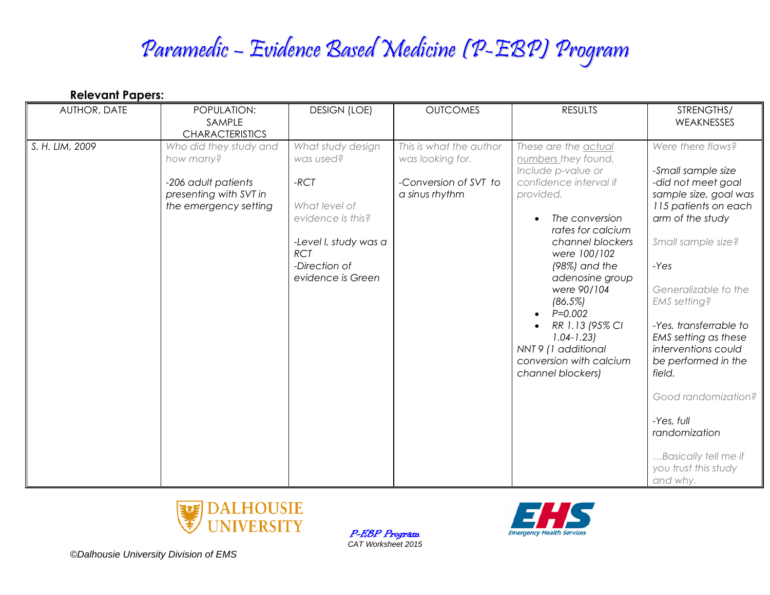# Paramedic – Evidence Based Medicine (P-EBP) Program

| <b>Relevant Papers:</b> |                                                                                                               |                                                                                                                                                             |                                                                                        |                                                                                                                                                                                                                                                                                                                                                                               |                                                                                                                                                                                                                                                                                                                                                                                                                                        |  |  |  |
|-------------------------|---------------------------------------------------------------------------------------------------------------|-------------------------------------------------------------------------------------------------------------------------------------------------------------|----------------------------------------------------------------------------------------|-------------------------------------------------------------------------------------------------------------------------------------------------------------------------------------------------------------------------------------------------------------------------------------------------------------------------------------------------------------------------------|----------------------------------------------------------------------------------------------------------------------------------------------------------------------------------------------------------------------------------------------------------------------------------------------------------------------------------------------------------------------------------------------------------------------------------------|--|--|--|
| AUTHOR, DATE            | POPULATION:<br>SAMPLE<br><b>CHARACTERISTICS</b>                                                               | <b>DESIGN (LOE)</b>                                                                                                                                         | <b>OUTCOMES</b>                                                                        | <b>RESULTS</b>                                                                                                                                                                                                                                                                                                                                                                | STRENGTHS/<br>WEAKNESSES                                                                                                                                                                                                                                                                                                                                                                                                               |  |  |  |
| S. H. LIM, 2009         | Who did they study and<br>how many?<br>-206 adult patients<br>presenting with SVT in<br>the emergency setting | What study design<br>was used?<br>$-RCT$<br>What level of<br>evidence is this?<br>-Level I, study was a<br><b>RCT</b><br>-Direction of<br>evidence is Green | This is what the author<br>was looking for.<br>-Conversion of SVT to<br>a sinus rhythm | These are the actual<br>numbers they found.<br>Include p-value or<br>confidence interval if<br>provided.<br>The conversion<br>rates for calcium<br>channel blockers<br>were 100/102<br>$(98%)$ and the<br>adenosine group<br>were 90/104<br>(86.5%)<br>$P = 0.002$<br>RR 1.13 (95% CI<br>$1.04 - 1.23$<br>NNT 9 (1 additional<br>conversion with calcium<br>channel blockers) | Were there flaws?<br>-Small sample size<br>-did not meet goal<br>sample size, goal was<br>115 patients on each<br>arm of the study<br>Small sample size?<br>$-Yes$<br>Generalizable to the<br>EMS setting?<br>-Yes, transferrable to<br>EMS setting as these<br>interventions could<br>be performed in the<br>field.<br>Good randomization?<br>-Yes, full<br>randomization<br>Basically tell me if<br>you trust this study<br>and why. |  |  |  |



P-EBP Program *CAT Worksheet 2015*

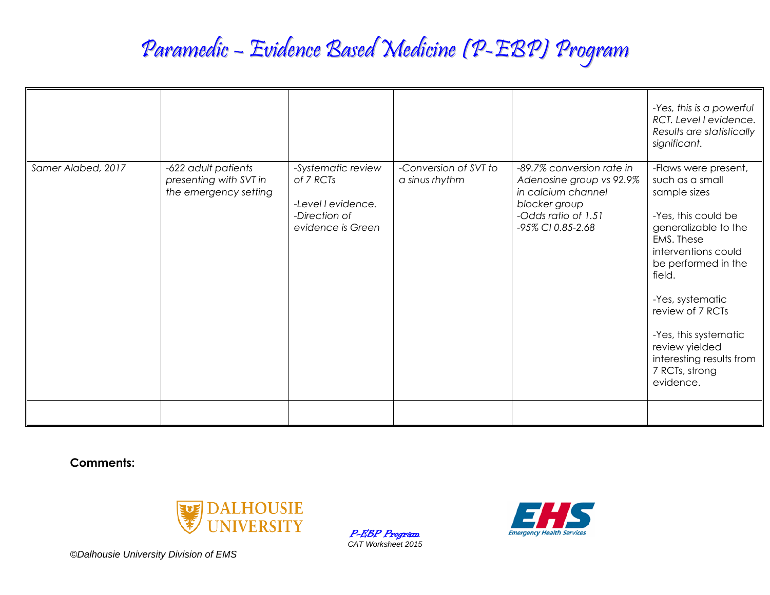## Paramedic – Evidence Based Medicine (P-EBP) Program

|                    |                                                                        |                                                                                             |                                         |                                                                                                                                          | -Yes, this is a powerful<br>RCT. Level I evidence.<br>Results are statistically<br>significant.                                                                                                                                                                                                                            |
|--------------------|------------------------------------------------------------------------|---------------------------------------------------------------------------------------------|-----------------------------------------|------------------------------------------------------------------------------------------------------------------------------------------|----------------------------------------------------------------------------------------------------------------------------------------------------------------------------------------------------------------------------------------------------------------------------------------------------------------------------|
| Samer Alabed, 2017 | -622 adult patients<br>presenting with SVT in<br>the emergency setting | -Systematic review<br>of 7 RCTs<br>-Level I evidence.<br>-Direction of<br>evidence is Green | -Conversion of SVT to<br>a sinus rhythm | -89.7% conversion rate in<br>Adenosine group vs 92.9%<br>in calcium channel<br>blocker group<br>-Odds ratio of 1.51<br>-95% CI 0.85-2.68 | -Flaws were present,<br>such as a small<br>sample sizes<br>-Yes, this could be<br>generalizable to the<br>EMS. These<br>interventions could<br>be performed in the<br>field.<br>-Yes, systematic<br>review of 7 RCTs<br>-Yes, this systematic<br>review yielded<br>interesting results from<br>7 RCTs, strong<br>evidence. |
|                    |                                                                        |                                                                                             |                                         |                                                                                                                                          |                                                                                                                                                                                                                                                                                                                            |

**Comments:**



P-EBP Program *CAT Worksheet 2015*